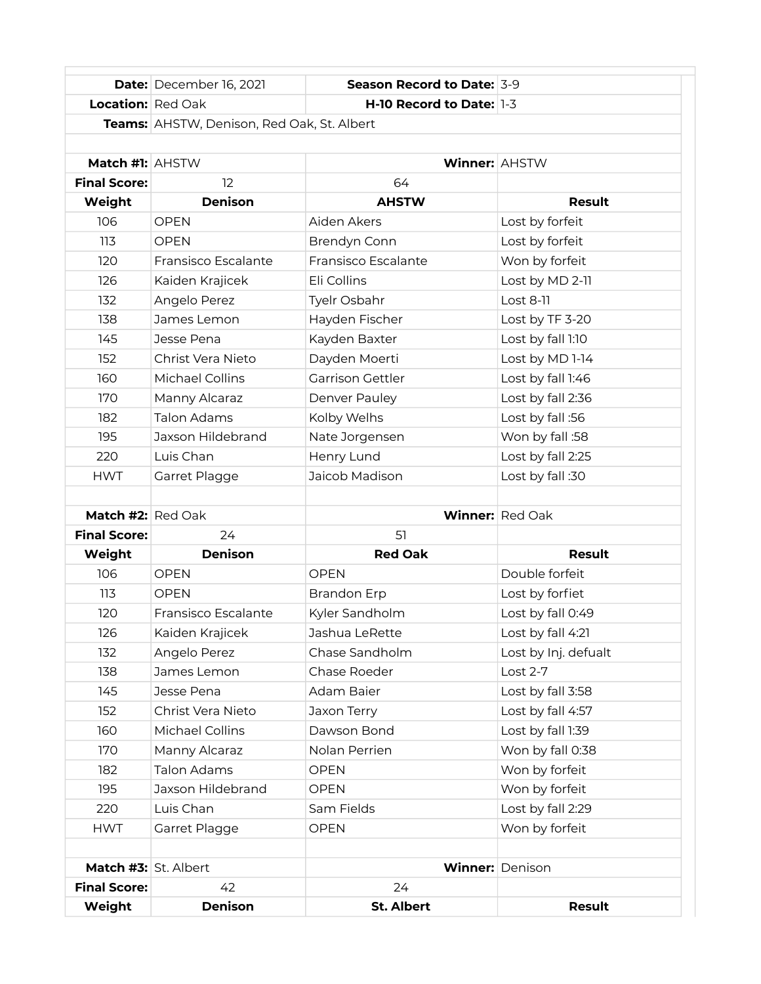|                            | <b>Date:</b> December 16, 2021             | Season Record to Date: 3-9 |                        |
|----------------------------|--------------------------------------------|----------------------------|------------------------|
| <b>Location:</b> Red Oak   |                                            | H-10 Record to Date: 1-3   |                        |
|                            | Teams: AHSTW, Denison, Red Oak, St. Albert |                            |                        |
|                            |                                            |                            |                        |
| Match #1: AHSTW            |                                            | <b>Winner: AHSTW</b>       |                        |
| <b>Final Score:</b>        | 12                                         | 64                         |                        |
| Weight                     | <b>Denison</b>                             | <b>AHSTW</b>               | Result                 |
| 106                        | <b>OPEN</b>                                | Aiden Akers                | Lost by forfeit        |
| 113                        | <b>OPEN</b>                                | Brendyn Conn               | Lost by forfeit        |
| 120                        | Fransisco Escalante                        | Fransisco Escalante        | Won by forfeit         |
| 126                        | Kaiden Krajicek                            | Eli Collins                | Lost by MD 2-11        |
| 132                        | Angelo Perez                               | Tyelr Osbahr               | Lost 8-11              |
| 138                        | James Lemon                                | Hayden Fischer             | Lost by TF 3-20        |
| 145                        | Jesse Pena                                 | Kayden Baxter              | Lost by fall 1:10      |
| 152                        | Christ Vera Nieto                          | Dayden Moerti              | Lost by MD 1-14        |
| 160                        | <b>Michael Collins</b>                     | <b>Garrison Gettler</b>    | Lost by fall 1:46      |
| 170                        | Manny Alcaraz                              | Denver Pauley              | Lost by fall 2:36      |
| 182                        | <b>Talon Adams</b>                         | Kolby Welhs                | Lost by fall:56        |
| 195                        | Jaxson Hildebrand                          | Nate Jorgensen             | Won by fall :58        |
| 220                        | Luis Chan                                  | Henry Lund                 | Lost by fall 2:25      |
| <b>HWT</b>                 | Garret Plagge                              | Jaicob Madison             | Lost by fall:30        |
|                            |                                            |                            |                        |
| <b>Match #2:</b> $Red$ Oak |                                            |                            | Winner: Red Oak        |
| <b>Final Score:</b>        | 24                                         | 51                         |                        |
| Weight                     | <b>Denison</b>                             | <b>Red Oak</b>             | <b>Result</b>          |
| 106                        | <b>OPEN</b>                                | <b>OPEN</b>                | Double forfeit         |
| 113                        | <b>OPEN</b>                                | <b>Brandon Erp</b>         | Lost by forfiet        |
| 120                        | Fransisco Escalante                        | Kyler Sandholm             | Lost by fall 0:49      |
| 126                        | Kaiden Krajicek                            | Jashua LeRette             | Lost by fall 4:21      |
| 132                        | Angelo Perez                               | Chase Sandholm             | Lost by Inj. defualt   |
| 138                        | James Lemon                                | Chase Roeder               | Lost 2-7               |
| 145                        | Jesse Pena                                 | Adam Baier                 | Lost by fall 3:58      |
| 152                        | Christ Vera Nieto                          | Jaxon Terry                | Lost by fall 4:57      |
| 160                        | Michael Collins                            | Dawson Bond                | Lost by fall 1:39      |
| 170                        | Manny Alcaraz                              | Nolan Perrien              | Won by fall 0:38       |
| 182                        | <b>Talon Adams</b>                         | <b>OPEN</b>                | Won by forfeit         |
| 195                        | Jaxson Hildebrand                          | <b>OPEN</b>                | Won by forfeit         |
| 220                        | Luis Chan                                  | Sam Fields                 | Lost by fall 2:29      |
| <b>HWT</b>                 | Garret Plagge                              | <b>OPEN</b>                | Won by forfeit         |
|                            |                                            |                            |                        |
| Match #3: St. Albert       |                                            |                            | <b>Winner: Denison</b> |
| <b>Final Score:</b>        | 42                                         | 24                         |                        |
| Weight                     | Denison                                    | <b>St. Albert</b>          | <b>Result</b>          |